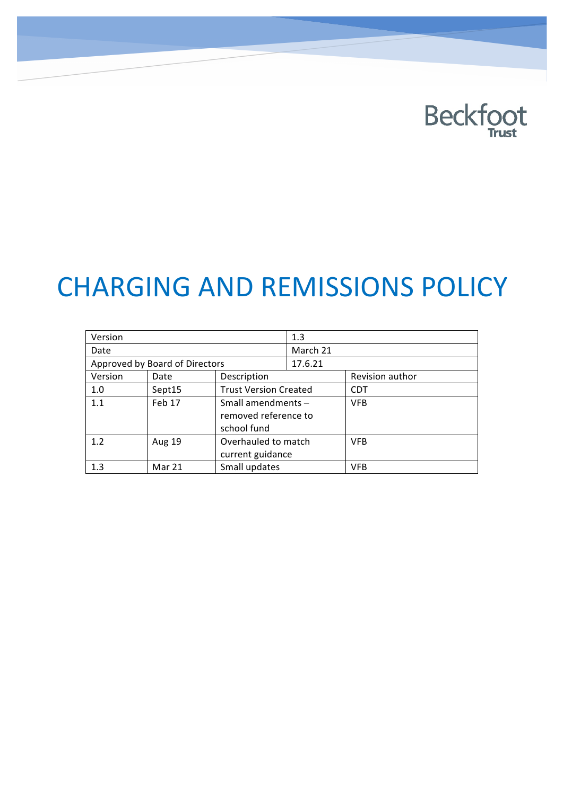# **Beckfoot**

# **CHARGING AND REMISSIONS POLICY**

| Version                        |        |                              | 1.3      |                 |
|--------------------------------|--------|------------------------------|----------|-----------------|
| Date                           |        |                              | March 21 |                 |
| Approved by Board of Directors |        |                              | 17.6.21  |                 |
| Version                        | Date   | Description                  |          | Revision author |
| 1.0                            | Sept15 | <b>Trust Version Created</b> |          | CDT             |
| 1.1                            | Feb 17 | Small amendments -           |          | <b>VFB</b>      |
|                                |        | removed reference to         |          |                 |
|                                |        | school fund                  |          |                 |
| 1.2                            | Aug 19 | Overhauled to match          |          | <b>VFB</b>      |
|                                |        | current guidance             |          |                 |
| 1.3                            | Mar 21 | Small updates                |          | VFB             |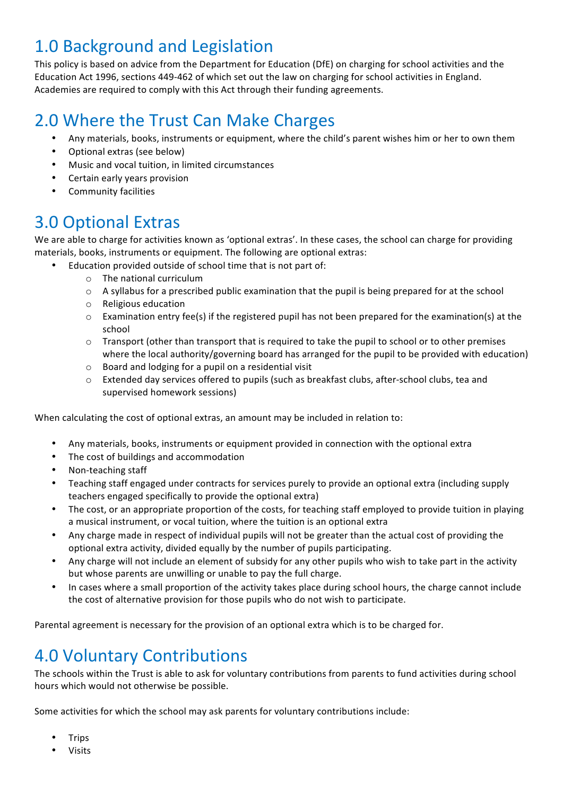## 1.0 Background and Legislation

This policy is based on advice from the Department for Education (DfE) on charging for school activities and the Education Act 1996, sections 449-462 of which set out the law on charging for school activities in England. Academies are required to comply with this Act through their funding agreements.

# 2.0 Where the Trust Can Make Charges

- Any materials, books, instruments or equipment, where the child's parent wishes him or her to own them
- Optional extras (see below)
- Music and vocal tuition, in limited circumstances
- Certain early years provision
- Community facilities

#### 3.0 Optional Extras

We are able to charge for activities known as 'optional extras'. In these cases, the school can charge for providing materials, books, instruments or equipment. The following are optional extras:

- Education provided outside of school time that is not part of:
	- $\circ$  The national curriculum
	- $\circ$  A syllabus for a prescribed public examination that the pupil is being prepared for at the school
	- o Religious education
	- $\circ$  Examination entry fee(s) if the registered pupil has not been prepared for the examination(s) at the school
	- $\circ$  Transport (other than transport that is required to take the pupil to school or to other premises where the local authority/governing board has arranged for the pupil to be provided with education)
	- $\circ$  Board and lodging for a pupil on a residential visit
	- o Extended day services offered to pupils (such as breakfast clubs, after-school clubs, tea and supervised homework sessions)

When calculating the cost of optional extras, an amount may be included in relation to:

- Any materials, books, instruments or equipment provided in connection with the optional extra
- The cost of buildings and accommodation
- Non-teaching staff
- Teaching staff engaged under contracts for services purely to provide an optional extra (including supply teachers engaged specifically to provide the optional extra)
- The cost, or an appropriate proportion of the costs, for teaching staff employed to provide tuition in playing a musical instrument, or vocal tuition, where the tuition is an optional extra
- Any charge made in respect of individual pupils will not be greater than the actual cost of providing the optional extra activity, divided equally by the number of pupils participating.
- Any charge will not include an element of subsidy for any other pupils who wish to take part in the activity but whose parents are unwilling or unable to pay the full charge.
- In cases where a small proportion of the activity takes place during school hours, the charge cannot include the cost of alternative provision for those pupils who do not wish to participate.

Parental agreement is necessary for the provision of an optional extra which is to be charged for.

### 4.0 Voluntary Contributions

The schools within the Trust is able to ask for voluntary contributions from parents to fund activities during school hours which would not otherwise be possible.

Some activities for which the school may ask parents for voluntary contributions include:

- **Trips**
- Visits